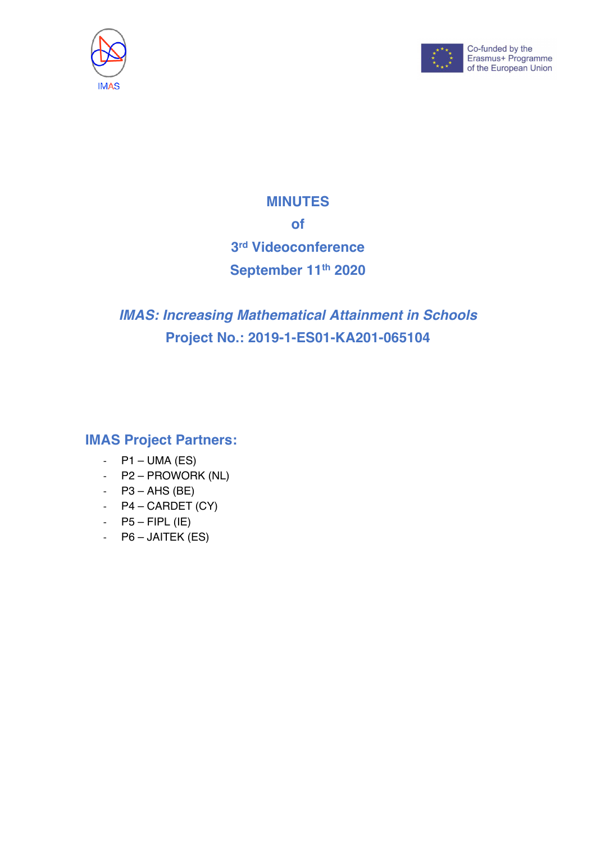



## **MINUTES**

**of**

## **3rd Videoconference September 11th 2020**

# *IMAS: Increasing Mathematical Attainment in Schools* **Project No.: 2019-1-ES01-KA201-065104**

## **IMAS Project Partners:**

- $P1 UMA (ES)$
- P2 PROWORK (NL)
- $-$  P3 AHS (BE)
- P4 CARDET (CY)
- $-$  P5 FIPL (IE)
- P6 JAITEK (ES)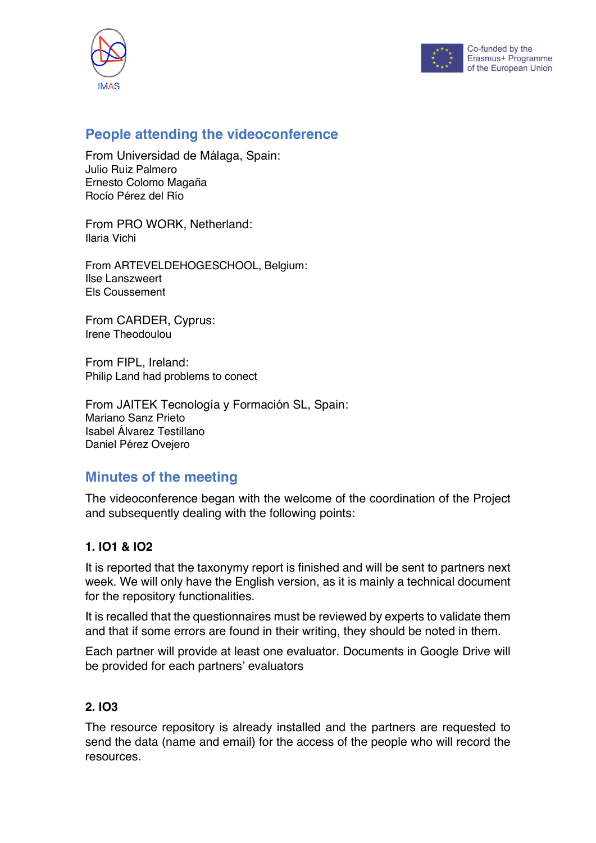



## **People attending the videoconference**

From Universidad de Málaga, Spain: Julio Ruiz Palmero Ernesto Colomo Magaña Rocío Pérez del Río

From PRO WORK, Netherland: Ilaria Vichi

From ARTEVELDEHOGESCHOOL, Belgium: Ilse Lanszweert Els Coussement

From CARDER, Cyprus: Irene Theodoulou

From FIPL, Ireland: Philip Land had problems to conect

From JAITEK Tecnología y Formación SL, Spain: Mariano Sanz Prieto Isabel Álvarez Testillano Daniel Pérez Ovejero

### **Minutes of the meeting**

The videoconference began with the welcome of the coordination of the Project and subsequently dealing with the following points:

#### **1. IO1 & IO2**

It is reported that the taxonymy report is finished and will be sent to partners next week. We will only have the English version, as it is mainly a technical document for the repository functionalities.

It is recalled that the questionnaires must be reviewed by experts to validate them and that if some errors are found in their writing, they should be noted in them.

Each partner will provide at least one evaluator. Documents in Google Drive will be provided for each partners' evaluators

#### **2. IO3**

The resource repository is already installed and the partners are requested to send the data (name and email) for the access of the people who will record the resources.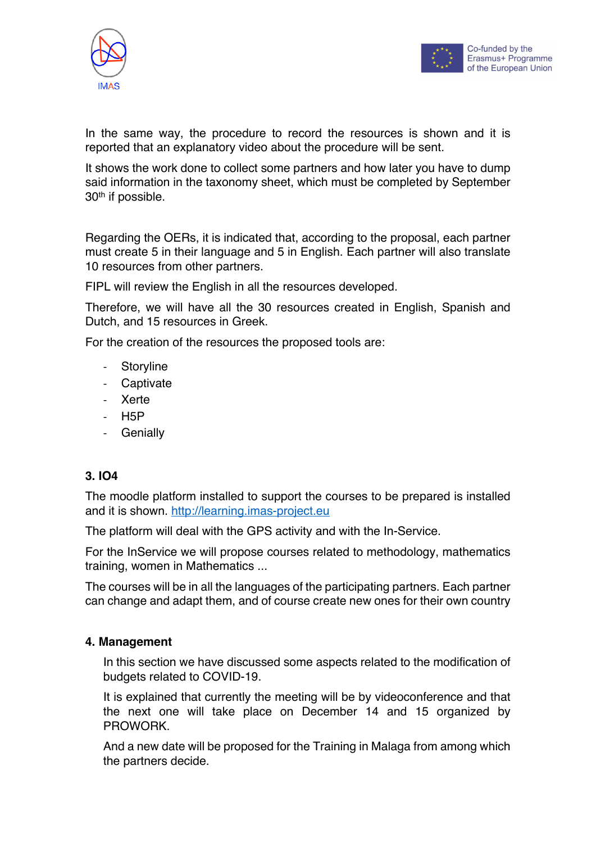



In the same way, the procedure to record the resources is shown and it is reported that an explanatory video about the procedure will be sent.

It shows the work done to collect some partners and how later you have to dump said information in the taxonomy sheet, which must be completed by September 30th if possible.

Regarding the OERs, it is indicated that, according to the proposal, each partner must create 5 in their language and 5 in English. Each partner will also translate 10 resources from other partners.

FIPL will review the English in all the resources developed.

Therefore, we will have all the 30 resources created in English, Spanish and Dutch, and 15 resources in Greek.

For the creation of the resources the proposed tools are:

- Storyline
- Captivate
- Xerte
- H5P
- Genially

#### **3. IO4**

The moodle platform installed to support the courses to be prepared is installed and it is shown. http://learning.imas-project.eu

The platform will deal with the GPS activity and with the In-Service.

For the InService we will propose courses related to methodology, mathematics training, women in Mathematics ...

The courses will be in all the languages of the participating partners. Each partner can change and adapt them, and of course create new ones for their own country

#### **4. Management**

In this section we have discussed some aspects related to the modification of budgets related to COVID-19.

It is explained that currently the meeting will be by videoconference and that the next one will take place on December 14 and 15 organized by PROWORK.

And a new date will be proposed for the Training in Malaga from among which the partners decide.